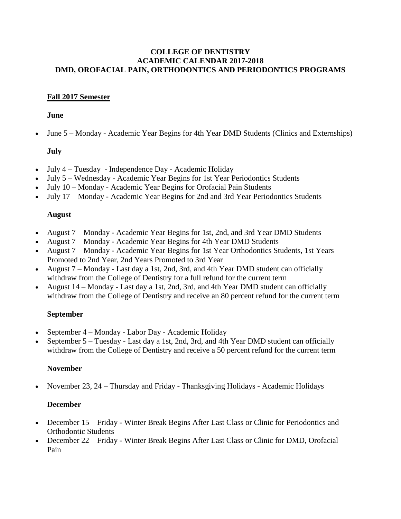#### **COLLEGE OF DENTISTRY ACADEMIC CALENDAR 2017-2018 DMD, OROFACIAL PAIN, ORTHODONTICS AND PERIODONTICS PROGRAMS**

## **Fall 2017 Semester**

#### **June**

June 5 – Monday - Academic Year Begins for 4th Year DMD Students (Clinics and Externships)

# **July**

- July 4 Tuesday Independence Day Academic Holiday
- July 5 Wednesday Academic Year Begins for 1st Year Periodontics Students
- July 10 Monday Academic Year Begins for Orofacial Pain Students
- July 17 Monday Academic Year Begins for 2nd and 3rd Year Periodontics Students

### **August**

- August 7 Monday Academic Year Begins for 1st, 2nd, and 3rd Year DMD Students
- August 7 Monday Academic Year Begins for 4th Year DMD Students
- August 7 Monday Academic Year Begins for 1st Year Orthodontics Students, 1st Years Promoted to 2nd Year, 2nd Years Promoted to 3rd Year
- August 7 Monday Last day a 1st, 2nd, 3rd, and 4th Year DMD student can officially withdraw from the College of Dentistry for a full refund for the current term
- August 14 Monday Last day a 1st, 2nd, 3rd, and 4th Year DMD student can officially withdraw from the College of Dentistry and receive an 80 percent refund for the current term

## **September**

- September 4 Monday Labor Day Academic Holiday
- September 5 Tuesday Last day a 1st, 2nd, 3rd, and 4th Year DMD student can officially withdraw from the College of Dentistry and receive a 50 percent refund for the current term

## **November**

• November 23, 24 – Thursday and Friday - Thanksgiving Holidays - Academic Holidays

## **December**

- December 15 Friday Winter Break Begins After Last Class or Clinic for Periodontics and Orthodontic Students
- December 22 Friday Winter Break Begins After Last Class or Clinic for DMD, Orofacial Pain